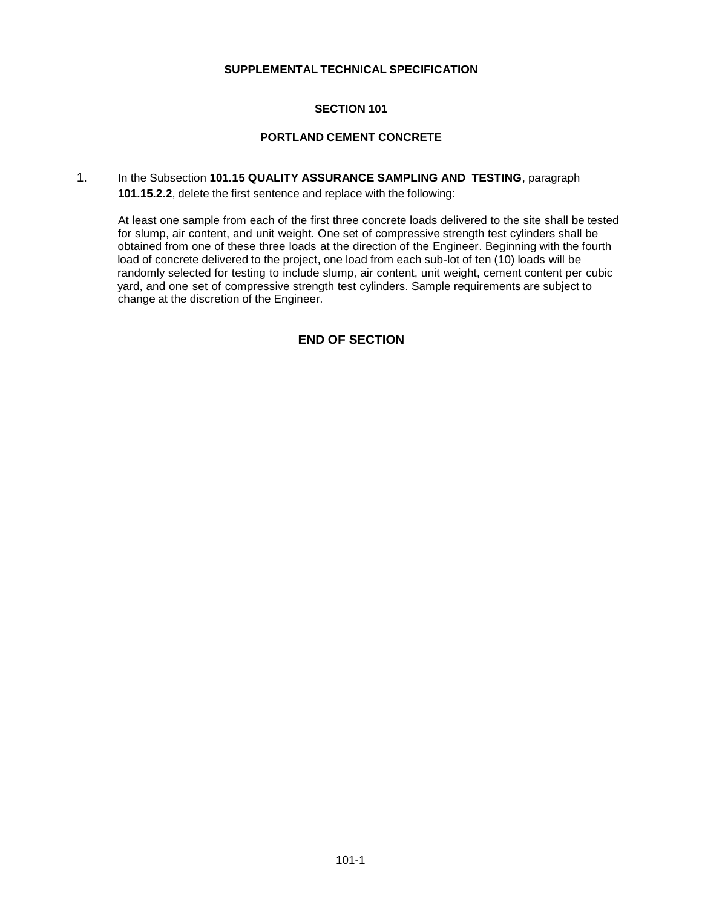# **SECTION 101**

#### **PORTLAND CEMENT CONCRETE**

1. In the Subsection **101.15 QUALITY ASSURANCE SAMPLING AND TESTING**, paragraph **101.15.2.2**, delete the first sentence and replace with the following:

At least one sample from each of the first three concrete loads delivered to the site shall be tested for slump, air content, and unit weight. One set of compressive strength test cylinders shall be obtained from one of these three loads at the direction of the Engineer. Beginning with the fourth load of concrete delivered to the project, one load from each sub-lot of ten (10) loads will be randomly selected for testing to include slump, air content, unit weight, cement content per cubic yard, and one set of compressive strength test cylinders. Sample requirements are subject to change at the discretion of the Engineer.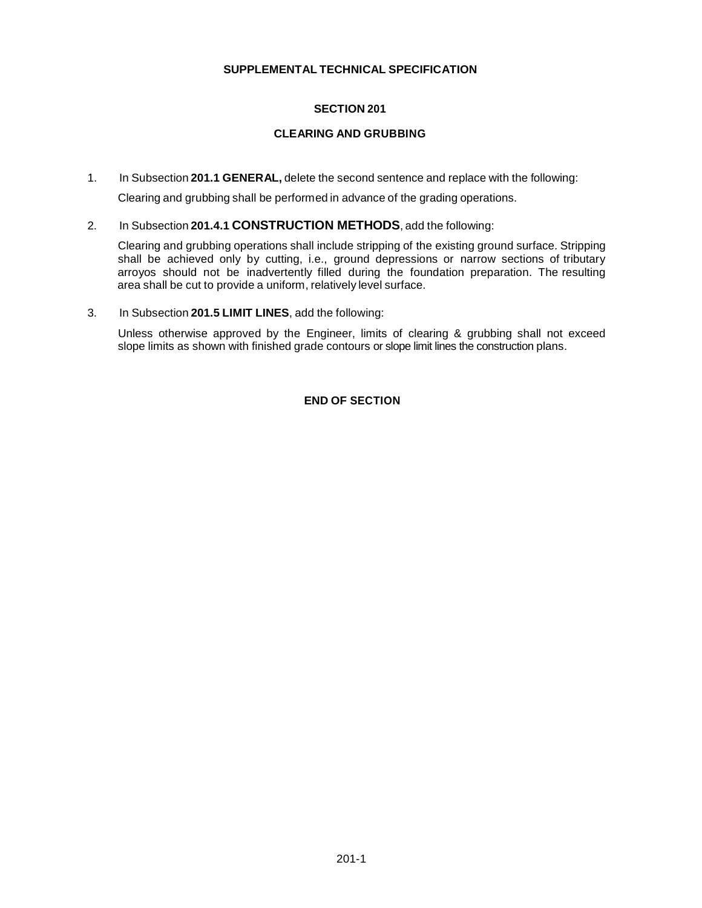# **SECTION 201**

# **CLEARING AND GRUBBING**

1. In Subsection **201.1 GENERAL,** delete the second sentence and replace with the following:

Clearing and grubbing shall be performed in advance of the grading operations.

2. In Subsection **201.4.1 CONSTRUCTION METHODS**, add the following:

Clearing and grubbing operations shall include stripping of the existing ground surface. Stripping shall be achieved only by cutting, i.e., ground depressions or narrow sections of tributary arroyos should not be inadvertently filled during the foundation preparation. The resulting area shall be cut to provide a uniform, relatively level surface.

3. In Subsection **201.5 LIMIT LINES**, add the following:

Unless otherwise approved by the Engineer, limits of clearing & grubbing shall not exceed slope limits as shown with finished grade contours or slope limit lines the construction plans.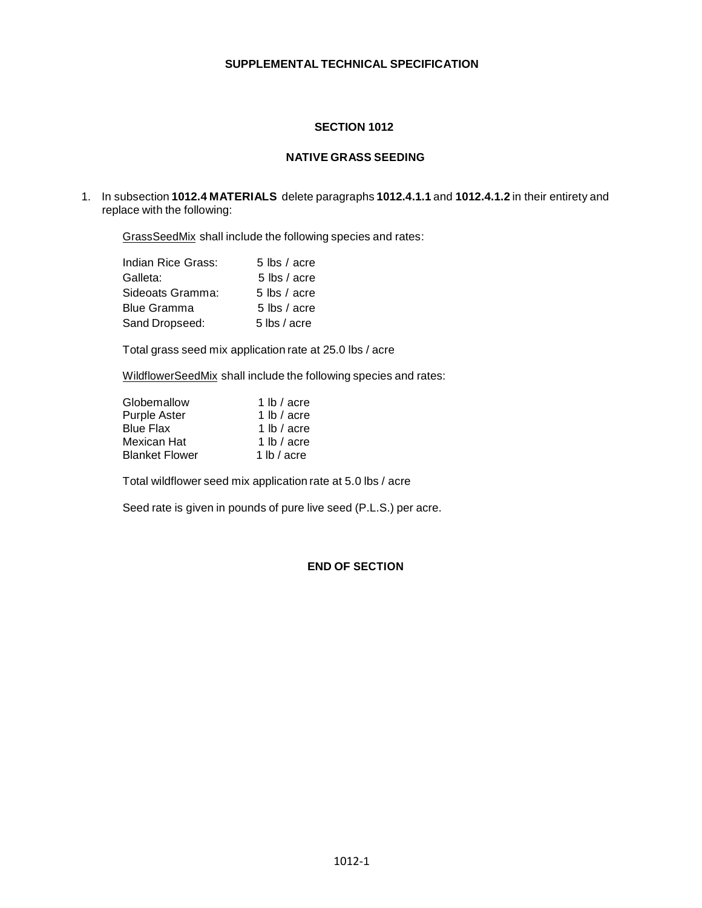# **SECTION 1012**

#### **NATIVE GRASS SEEDING**

1. In subsection **1012.4 MATERIALS** delete paragraphs **1012.4.1.1** and **1012.4.1.2** in their entirety and replace with the following:

GrassSeedMix shall include the following species and rates:

| Indian Rice Grass: | 5 lbs / acre   |
|--------------------|----------------|
| Galleta:           | 5 lbs / acre   |
| Sideoats Gramma:   | 5 lbs $/$ acre |
| Blue Gramma        | 5 lbs / acre   |
| Sand Dropseed:     | 5 lbs / acre   |

Total grass seed mix application rate at 25.0 lbs / acre

WildflowerSeedMix shall include the following species and rates:

| Globemallow           | 1 lb $/$ acre          |
|-----------------------|------------------------|
| <b>Purple Aster</b>   | 1 $\mathsf{lb}$ / acre |
| <b>Blue Flax</b>      | 1 lb / acre            |
| Mexican Hat           | 1 lb $/$ acre          |
| <b>Blanket Flower</b> | 1 lb / acre            |

Total wildflower seed mix application rate at 5.0 lbs / acre

Seed rate is given in pounds of pure live seed (P.L.S.) per acre.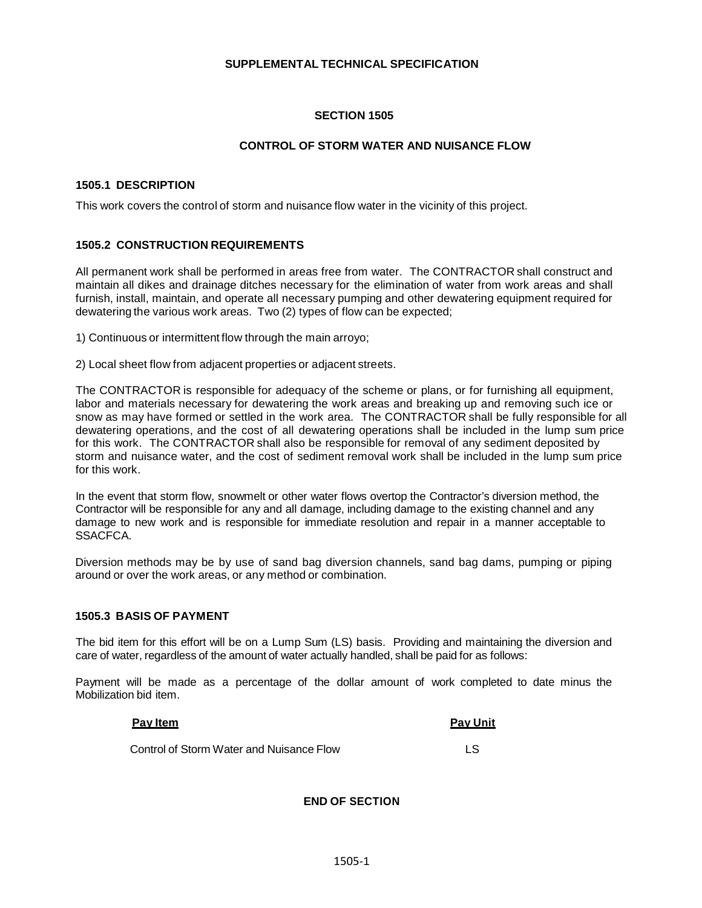#### **SECTION 1505**

#### **CONTROL OF STORM WATER AND NUISANCE FLOW**

#### **1505.1 DESCRIPTION**

This work covers the control of storm and nuisance flow water in the vicinity of this project.

#### **1505.2 CONSTRUCTION REQUIREMENTS**

All permanent work shall be performed in areas free from water. The CONTRACTOR shall construct and maintain all dikes and drainage ditches necessary for the elimination of water from work areas and shall furnish, install, maintain, and operate all necessary pumping and other dewatering equipment required for dewatering the various work areas. Two (2) types of flow can be expected;

1) Continuous or intermittent flow through the main arroyo;

2) Local sheet flow from adjacent properties or adjacent streets.

The CONTRACTOR is responsible for adequacy of the scheme or plans, or for furnishing all equipment, labor and materials necessary for dewatering the work areas and breaking up and removing such ice or snow as may have formed or settled in the work area. The CONTRACTOR shall be fully responsible for all dewatering operations, and the cost of all dewatering operations shall be included in the lump sum price for this work. The CONTRACTOR shall also be responsible for removal of any sediment deposited by storm and nuisance water, and the cost of sediment removal work shall be included in the lump sum price for this work.

In the event that storm flow, snowmelt or other water flows overtop the Contractor's diversion method, the Contractor will be responsible for any and all damage, including damage to the existing channel and any damage to new work and is responsible for immediate resolution and repair in a manner acceptable to SSACFCA.

Diversion methods may be by use of sand bag diversion channels, sand bag dams, pumping or piping around or over the work areas, or any method or combination.

#### **1505.3 BASIS OF PAYMENT**

The bid item for this effort will be on a Lump Sum (LS) basis. Providing and maintaining the diversion and care of water, regardless of the amount of water actually handled, shall be paid for as follows:

Payment will be made as a percentage of the dollar amount of work completed to date minus the Mobilization bid item.

# **Pay Item Pay Unit** Control of Storm Water and Nuisance Flow LS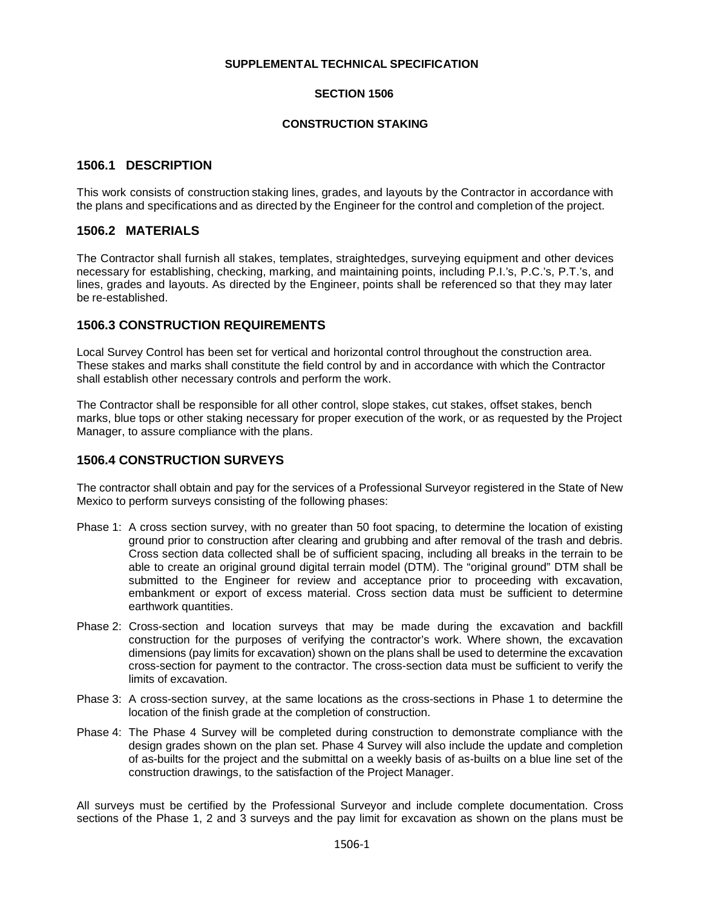#### **SECTION 1506**

#### **CONSTRUCTION STAKING**

# **1506.1 DESCRIPTION**

This work consists of construction staking lines, grades, and layouts by the Contractor in accordance with the plans and specifications and as directed by the Engineer for the control and completion of the project.

#### **1506.2 MATERIALS**

The Contractor shall furnish all stakes, templates, straightedges, surveying equipment and other devices necessary for establishing, checking, marking, and maintaining points, including P.I.'s, P.C.'s, P.T.'s, and lines, grades and layouts. As directed by the Engineer, points shall be referenced so that they may later be re-established.

# **1506.3 CONSTRUCTION REQUIREMENTS**

Local Survey Control has been set for vertical and horizontal control throughout the construction area. These stakes and marks shall constitute the field control by and in accordance with which the Contractor shall establish other necessary controls and perform the work.

The Contractor shall be responsible for all other control, slope stakes, cut stakes, offset stakes, bench marks, blue tops or other staking necessary for proper execution of the work, or as requested by the Project Manager, to assure compliance with the plans.

# **1506.4 CONSTRUCTION SURVEYS**

The contractor shall obtain and pay for the services of a Professional Surveyor registered in the State of New Mexico to perform surveys consisting of the following phases:

- Phase 1: A cross section survey, with no greater than 50 foot spacing, to determine the location of existing ground prior to construction after clearing and grubbing and after removal of the trash and debris. Cross section data collected shall be of sufficient spacing, including all breaks in the terrain to be able to create an original ground digital terrain model (DTM). The "original ground" DTM shall be submitted to the Engineer for review and acceptance prior to proceeding with excavation, embankment or export of excess material. Cross section data must be sufficient to determine earthwork quantities.
- Phase 2: Cross-section and location surveys that may be made during the excavation and backfill construction for the purposes of verifying the contractor's work. Where shown, the excavation dimensions (pay limits for excavation) shown on the plans shall be used to determine the excavation cross-section for payment to the contractor. The cross-section data must be sufficient to verify the limits of excavation.
- Phase 3: A cross-section survey, at the same locations as the cross-sections in Phase 1 to determine the location of the finish grade at the completion of construction.
- Phase 4: The Phase 4 Survey will be completed during construction to demonstrate compliance with the design grades shown on the plan set. Phase 4 Survey will also include the update and completion of as-builts for the project and the submittal on a weekly basis of as-builts on a blue line set of the construction drawings, to the satisfaction of the Project Manager.

All surveys must be certified by the Professional Surveyor and include complete documentation. Cross sections of the Phase 1, 2 and 3 surveys and the pay limit for excavation as shown on the plans must be